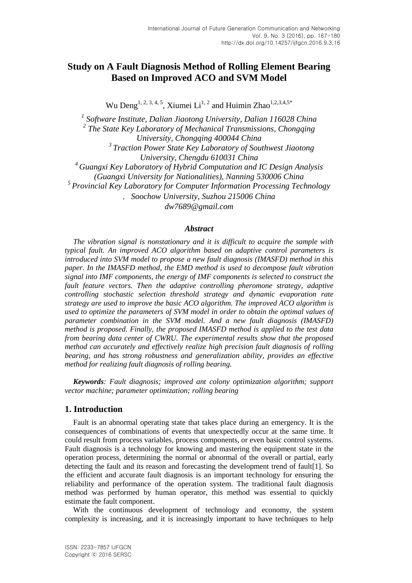# **Study on A Fault Diagnosis Method of Rolling Element Bearing Based on Improved ACO and SVM Model**

Wu Deng<sup>1, 2, 3, 4, 5</sup>, Xiumei Li<sup>1, 2</sup> and Huimin Zhao<sup>1,2,3,4,5\*</sup>

*1 Software Institute, Dalian Jiaotong University, Dalian 116028 China 2 The State Key Laboratory of Mechanical Transmissions, Chongqing University, Chongqing 400044 China <sup>3</sup>Traction Power State Key Laboratory of Southwest Jiaotong University, Chengdu 610031 China <sup>4</sup> Guangxi Key Laboratory of Hybrid Computation and IC Design Analysis (Guangxi University for Nationalities), Nanning 530006 China <sup>5</sup>Provincial Key Laboratory for Computer Information Processing Technology* ,*Soochow University, Suzhou 215006 China*

*dw7689@gmail.com*

#### *Abstract*

*The vibration signal is nonstationary and it is difficult to acquire the sample with typical fault. An improved ACO algorithm based on adaptive control parameters is introduced into SVM model to propose a new fault diagnosis (IMASFD) method in this paper. In the IMASFD method, the EMD method is used to decompose fault vibration signal into IMF components, the energy of IMF components is selected to construct the fault feature vectors. Then the adaptive controlling pheromone strategy, adaptive controlling stochastic selection threshold strategy and dynamic evaporation rate strategy are used to improve the basic ACO algorithm. The improved ACO algorithm is used to optimize the parameters of SVM model in order to obtain the optimal values of parameter combination in the SVM model. And a new fault diagnosis (IMASFD) method is proposed. Finally, the proposed IMASFD method is applied to the test data from bearing data center of CWRU. The experimental results show that the proposed method can accurately and effectively realize high precision fault diagnosis of rolling bearing, and has strong robustness and generalization ability, provides an effective method for realizing fault diagnosis of rolling bearing.*

*Keywords: Fault diagnosis; improved ant colony optimization algorithm; support vector machine; parameter optimization; rolling bearing*

### **1. Introduction**

Fault is an abnormal operating state that takes place during an emergency. It is the consequences of combinations of events that unexpectedly occur at the same time. It could result from process variables, process components, or even basic control systems. Fault diagnosis is a technology for knowing and mastering the equipment state in the operation process, determining the normal or abnormal of the overall or partial, early detecting the fault and its reason and forecasting the development trend of fault[1]. So the efficient and accurate fault diagnosis is an important technology for ensuring the reliability and performance of the operation system. The traditional fault diagnosis method was performed by human operator, this method was essential to quickly estimate the fault component.

With the continuous development of technology and economy, the system complexity is increasing, and it is increasingly important to have techniques to help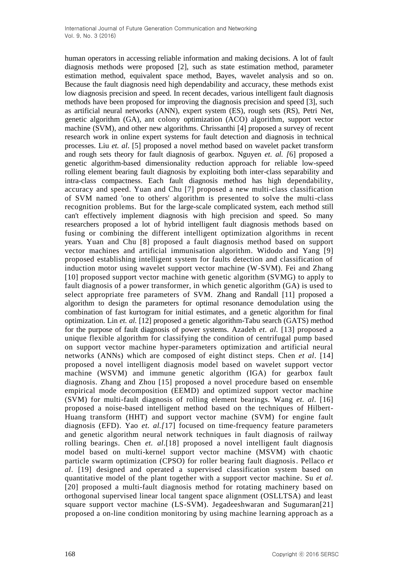human operators in accessing reliable information and making decisions. A lot of fault diagnosis methods were proposed [2], such as state estimation method, parameter estimation method, equivalent space method, Bayes, wavelet analysis and so on. Because the fault diagnosis need high dependability and accuracy, these methods exist low diagnosis precision and speed. In recent decades, various intelligent fault diagnosis methods have been proposed for improving the diagnosis precision and speed [3], such as artificial neural networks (ANN), expert system (ES), rough sets (RS), Petri Net, genetic algorithm (GA), ant colony optimization (ACO) algorithm, support vector machine (SVM), and other new algorithms. Chrissanthi [4] proposed a survey of recent research work in online expert systems for fault detection and diagnosis in technical processes. Liu *et. al*. [5] proposed a novel method based on wavelet packet transform and rough sets theory for fault diagnosis of gearbox. Nguyen *et. al. [*6] proposed a genetic algorithm-based dimensionality reduction approach for reliable low-speed rolling element bearing fault diagnosis by exploiting both inter-class separability and intra-class compactness. Each fault diagnosis method has high dependability, accuracy and speed. Yuan and Chu [7] proposed a new multi-class classification of SVM named 'one to others' algorithm is presented to solve the multi-class recognition problems. But for the large-scale complicated system, each method still can't effectively implement diagnosis with high precision and speed. So many researchers proposed a lot of hybrid intelligent fault diagnosis methods based on fusing or combining the different intelligent optimization algorithms in recent years. Yuan and Chu [8] proposed a fault diagnosis method based on support vector machines and artificial immunisation algorithm. Widodo and Yang [9] proposed establishing intelligent system for faults detection and classification of induction motor using wavelet support vector machine (W-SVM). Fei and Zhang [10] proposed support vector machine with genetic algorithm (SVMG) to apply to fault diagnosis of a power transformer, in which genetic algorithm (GA) is used to select appropriate free parameters of SVM. Zhang and Randall [11] proposed a algorithm to design the parameters for optimal resonance demodulation using the combination of fast kurtogram for initial estimates, and a genetic algorithm for final optimization. Lin *et. al.* [12] proposed a genetic algorithm-Tabu search (GATS) method for the purpose of fault diagnosis of power systems. Azadeh *et. al.* [13] proposed a unique flexible algorithm for classifying the condition of centrifugal pump based on support vector machine hyper-parameters optimization and artificial neural networks (ANNs) which are composed of eight distinct steps. Chen *et al*. [14] proposed a novel intelligent diagnosis model based on wavelet support vector machine (WSVM) and immune genetic algorithm (IGA) for gearbox fault diagnosis. Zhang and Zhou [15] proposed a novel procedure based on ensemble empirical mode decomposition (EEMD) and optimized support vector machine (SVM) for multi-fault diagnosis of rolling element bearings. Wang *et. al*. [16] proposed a noise-based intelligent method based on the techniques of Hilbert-Huang transform (HHT) and support vector machine (SVM) for engine fault diagnosis (EFD). Yao *et. al.[*17] focused on time-frequency feature parameters and genetic algorithm neural network techniques in fault diagnosis of railway rolling bearings. Chen *et. al*.[18] proposed a novel intelligent fault diagnosis model based on multi-kernel support vector machine (MSVM) with chaotic particle swarm optimization (CPSO) for roller bearing fault diagnosis. Pellaco *et al*. [19] designed and operated a supervised classification system based on quantitative model of the plant together with a support vector machine. Su *et al.* [20] proposed a multi-fault diagnosis method for rotating machinery based on orthogonal supervised linear local tangent space alignment (OSLLTSA) and least square support vector machine (LS-SVM). Jegadeeshwaran and Sugumaran[21] proposed a on-line condition monitoring by using machine learning approach as a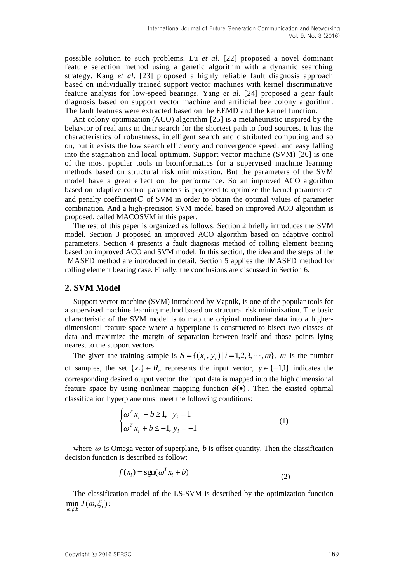possible solution to such problems. Lu *et al.* [22] proposed a novel dominant feature selection method using a genetic algorithm with a dynamic searching strategy. Kang *et al*. [23] proposed a highly reliable fault diagnosis approach based on individually trained support vector machines with kernel discriminative feature analysis for low-speed bearings. Yang *et al.* [24] proposed a gear fault diagnosis based on support vector machine and artificial bee colony algorithm. The fault features were extracted based on the EEMD and the kernel function.

Ant colony optimization (ACO) algorithm [25] is a metaheuristic inspired by the behavior of real ants in their search for the shortest path to food sources. It has the characteristics of robustness, intelligent search and distributed computing and so on, but it exists the low search efficiency and convergence speed, and easy falling into the stagnation and local optimum. Support vector machine (SVM) [26] is one of the most popular tools in bioinformatics for a supervised machine learning methods based on structural risk minimization. But the parameters of the SVM model have a great effect on the performance. So an improved ACO algorithm based on adaptive control parameters is proposed to optimize the kernel parameter  $\sigma$ and penalty coefficient  $C$  of SVM in order to obtain the optimal values of parameter combination. And a high-precision SVM model based on improved ACO algorithm is proposed, called MACOSVM in this paper.

The rest of this paper is organized as follows. Section 2 briefly introduces the SVM model. Section 3 proposed an improved ACO algorithm based on adaptive control parameters. Section 4 presents a fault diagnosis method of rolling element bearing based on improved ACO and SVM model. In this section, the idea and the steps of the IMASFD method are introduced in detail. Section 5 applies the IMASFD method for rolling element bearing case. Finally, the conclusions are discussed in Section 6.

## **2. SVM Model**

Support vector machine (SVM) introduced by Vapnik, is one of the popular tools for a supervised machine learning method based on structural risk minimization. The basic characteristic of the SVM model is to map the original nonlinear data into a higherdimensional feature space where a hyperplane is constructed to bisect two classes of data and maximize the margin of separation between itself and those points lying nearest to the support vectors.

The given the training sample is  $S = \{(x_i, y_i) | i = 1, 2, 3, \dots, m\}$ , *m* is the number of samples, the set  $\{x_i\} \in R_n$  represents the input vector,  $y \in \{-1,1\}$  indicates the corresponding desired output vector, the input data is mapped into the high dimensional feature space by using nonlinear mapping function  $\phi(\bullet)$ . Then the existed optimal classification hyperplane must meet the following conditions:

$$
\begin{cases} \omega^T x_i + b \ge 1, & y_i = 1 \\ \omega^T x_i + b \le -1, & y_i = -1 \end{cases}
$$
 (1)

where  $\omega$  is Omega vector of superplane,  $b$  is offset quantity. Then the classification decision function is described as follow:

$$
f(x_i) = \text{sgn}(\omega^T x_i + b)
$$
 (2)

The classification model of the LS-SVM is described by the optimization function  $\min_{i \in I} J(\omega, \xi_i)$ :  $\omega, \xi, b$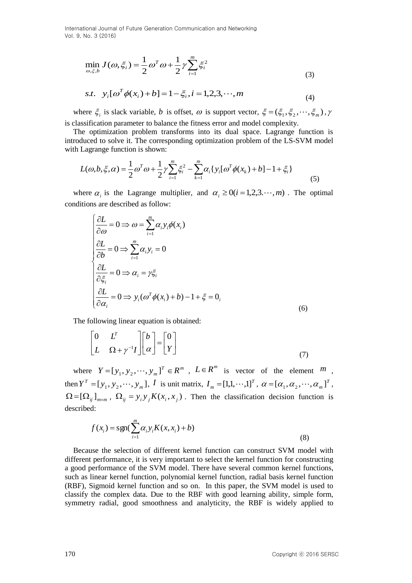$$
\min_{\omega,\xi,b} J(\omega,\xi_i) = \frac{1}{2} \omega^T \omega + \frac{1}{2} \gamma \sum_{i=1}^m \xi_i^2
$$
\n(3)

s.t. 
$$
y_i[\omega^T \phi(x_i) + b] = 1 - \xi_i, i = 1, 2, 3, \dots, m
$$
 (4)

where  $\xi_i$  is slack variable, *b* is offset,  $\omega$  is support vector,  $\xi = (\xi_1, \xi_2, \dots, \xi_m)$ ,  $\gamma$ is classification parameter to balance the fitness error and model complexity.

The optimization problem transforms into its dual space. Lagrange function is introduced to solve it. The corresponding optimization problem of the LS-SVM model with Lagrange function is shown:

$$
L(\omega, b, \xi, \alpha) = \frac{1}{2} \omega^T \omega + \frac{1}{2} \gamma \sum_{i=1}^m \xi_i^2 - \sum_{k=1}^m \alpha_k \{ y_i [\omega^T \phi(x_k) + b] - 1 + \xi_i \}
$$
(5)

where  $\alpha_i$  is the Lagrange multiplier, and  $\alpha_i \ge 0$  (*i* = 1,2,3.  $\cdots$ , *m*). The optimal conditions are described as follow:

min<sub>α,ξ,θ</sub> 
$$
J(\omega, \xi) = \frac{1}{2} \omega^T \omega + \frac{1}{2} \gamma \sum_{i=1}^{n} \xi_i^2
$$
\n(3)  
\ns.t.  $y_i[\omega^T \phi(x_i) + b] = 1 - \xi_i, i = 1,2,3,\dots, m$ \n(4)  
\nwhere  $\xi_i$  is slack variable, *b* is offset, *ω* is support vector,  $\xi = (\xi_1, \xi_2, \dots, \xi_m), \gamma$   
\nis classification parameter to balance the fitness error and model complexity.  
\nThe optimization problem transform is its dual space. Lagrange function is  
\nwith Lagrange function is shown:  
\n
$$
L(\omega, b, \xi, \alpha) = \frac{1}{2} \omega^T \omega + \frac{1}{2} \gamma \sum_{i=1}^{m} \xi_i^2 - \sum_{k=1}^{m} \alpha_i \{y_i[\omega^T \phi(x_k) + b] - 1 + \xi_i\}
$$
\n(5)  
\nwhere  $\alpha_i$  is the Lagrange multiplier, and  $\alpha_i \ge 0(i = 1,2,3,\dots, m)$ . The optimal  
\nconditions are described as follow:  
\n
$$
\begin{cases}\n\frac{\partial L}{\partial \omega} = 0 \Rightarrow \omega = \sum_{i=1}^{m} \alpha_i y_i \neq 0 \\
\frac{\partial L}{\partial \omega} = 0 \Rightarrow \sum_{i=1}^{m} \alpha_i y_i = 0\n\end{cases}
$$
\n(6)  
\nThe following linear equation is obtained:  
\n
$$
\begin{bmatrix}\n0 & L^T \\
\frac{\partial L}{\partial \alpha_i} = 0 \Rightarrow y_i(\omega^T \phi(x_i) + b) - 1 + \xi = 0,\n\end{bmatrix}
$$
\n(6)  
\nThe following linear equation is obtained:  
\n
$$
\begin{bmatrix}\n0 & L^T \\
L & \Omega + \gamma^{-1}\n\end{bmatrix}\n\begin{bmatrix}\nb \\
\alpha\n\end{bmatrix} = \begin{bmatrix}\n0 \\
\gamma\n\end{bmatrix}
$$
\nwhere  $Y = [y_1, y_2, \dots, y_m] \cdot I$  is unit matrix,  $I_m = [1,1,\dots,1]^T$ ,  $\alpha = [\alpha_1, \alpha_2, \dots, \alpha_m]^T$ .  
\n $\Omega = [\Omega_{ij}]_{\text{max}}$ ,  $\Omega_{ij} = y_i y_j K(x_i$ 

The following linear equation is obtained:

$$
\begin{bmatrix} 0 & L^T \\ L & \Omega + \gamma^{-1}I \end{bmatrix} \begin{bmatrix} b \\ \alpha \end{bmatrix} = \begin{bmatrix} 0 \\ Y \end{bmatrix}
$$
\n(7)

where  $Y = [y_1, y_2, \dots, y_m]^T \in R^m$ ,  $L \in R^m$  is vector of the element  $m$ , then  $Y^T = [y_1, y_2, \dots, y_m]$  $Y^T = [y_1, y_2, \dots, y_m], I$  is unit matrix,  $I_m = [1,1,\dots,1]^T$  $I_m = [1,1,\dots,1]^T$ ,  $\alpha = [\alpha_1, \alpha_2, \dots, \alpha_m]^T$  $\alpha = [\alpha_1, \alpha_2, \cdots, \alpha_m]^T$ ,  $\Omega = [\Omega_{ij}]_{m \times m}$ ,  $\Omega_{ij} = y_i y_j K(x_i, x_j)$ . Then the classification decision function is described:

$$
f(x_i) = \text{sgn}(\sum_{i=1}^{m} \alpha_i y_i K(x, x_i) + b)
$$
\n(8)

Because the selection of different kernel function can construct SVM model with different performance, it is very important to select the kernel function for constructing a good performance of the SVM model. There have several common kernel functions, such as linear kernel function, polynomial kernel function, radial basis kernel function (RBF), Sigmoid kernel function and so on. In this paper, the SVM model is used to classify the complex data. Due to the RBF with good learning ability, simple form, symmetry radial, good smoothness and analyticity, the RBF is widely applied to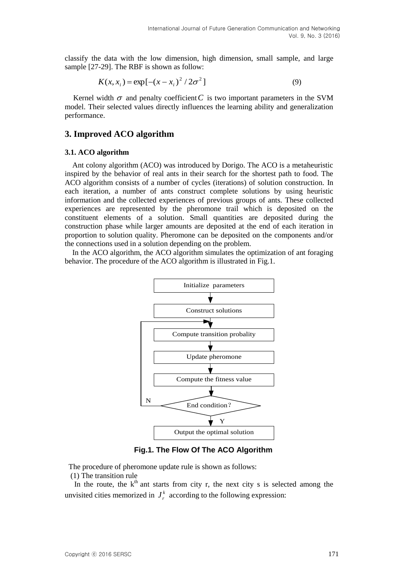classify the data with the low dimension, high dimension, small sample, and large sample [27-29]. The RBF is shown as follow:

$$
K(x, x_i) = \exp[-(x - x_i)^2 / 2\sigma^2]
$$
\n(9)

Kernel width  $\sigma$  and penalty coefficient  $C$  is two important parameters in the SVM model. Their selected values directly influences the learning ability and generalization performance.

### **3. Improved ACO algorithm**

#### **3.1. ACO algorithm**

Ant colony algorithm (ACO) was introduced by Dorigo. The ACO is a metaheuristic inspired by the behavior of real ants in their search for the shortest path to food. The ACO algorithm consists of a number of cycles (iterations) of solution construction. In each iteration, a number of ants construct complete solutions by using heuristic information and the collected experiences of previous groups of ants. These collected experiences are represented by the pheromone trail which is deposited on the constituent elements of a solution. Small quantities are deposited during the construction phase while larger amounts are deposited at the end of each iteration in proportion to solution quality. Pheromone can be deposited on the components and/or the connections used in a solution depending on the problem.

In the ACO algorithm, the ACO algorithm simulates the optimization of ant foraging behavior. The procedure of the ACO algorithm is illustrated in Fig.1.



**Fig.1. The Flow Of The ACO Algorithm**

The procedure of pheromone update rule is shown as follows:

(1) The transition rule

In the route, the  $k<sup>th</sup>$  ant starts from city r, the next city s is selected among the unvisited cities memorized in  $J_r^k$  $J_r^k$  according to the following expression: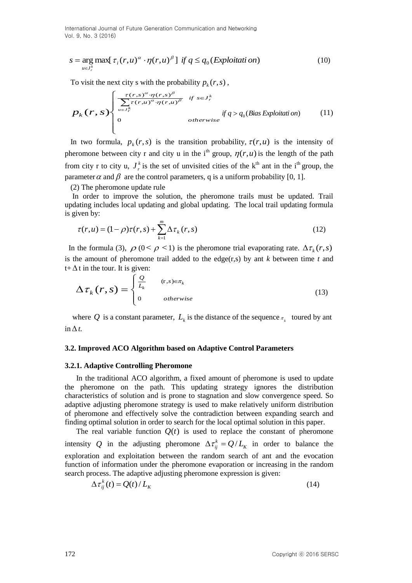$$
s = \underset{u \in J_r^k}{\arg \max} [\tau_i(r, u)^\alpha \cdot \eta(r, u)^\beta] \text{ if } q \le q_0(\text{Explot} \text{tati} \text{ on})
$$
 (10)

To visit the next city s with the probability  $p_k(r, s)$ ,

$$
p_{k}(r,s) \begin{cases} \frac{\tau(r,s)^{\alpha} \cdot \eta(r,s)^{\beta}}{\sum_{u \in J_{r}^{k}} \tau(r,u)^{\alpha} \cdot \eta(r,u)^{\beta}} & \text{if } s \in J_{r}^{k} \\ 0 & \text{otherwise} \end{cases} \text{ if } q > q_{0} \text{ (Bias Exploration)} \qquad (11)
$$

In two formula,  $p_k(r, s)$  is the transition probability,  $\tau(r, u)$  is the intensity of pheromone between city r and city u in the i<sup>th</sup> group,  $\eta(r, u)$  is the length of the path from city r to city u,  $J_r^k$  $J_r^k$  is the set of unvisited cities of the k<sup>th</sup> ant in the i<sup>th</sup> group, the parameter  $\alpha$  and  $\beta$  are the control parameters, q is a uniform probability [0, 1].

(2) The pheromone update rule

In order to improve the solution, the pheromone trails must be updated. Trail updating includes local updating and global updating. The local trail updating formula is given by:

$$
\tau(r, u) = (1 - \rho)\tau(r, s) + \sum_{k=1}^{m} \Delta \tau_k(r, s)
$$
\n(12)

In the formula (3),  $\rho$  ( $0 < \rho < 1$ ) is the pheromone trial evaporating rate.  $\Delta \tau_k(r, s)$ is the amount of pheromone trail added to the edge(r,s) by ant *k* between time *t* and  $t + \Delta t$  in the tour. It is given:

$$
\Delta \tau_k(r,s) = \begin{cases} \frac{Q}{L_k} & (r,s) \in \pi_k \\ 0 & otherwise \end{cases}
$$
 (13)

where Q is a constant parameter,  $L_k$  is the distance of the sequence  $\pi_k$  toured by ant  $\ln \Delta t$ .

#### **3.2. Improved ACO Algorithm based on Adaptive Control Parameters**

#### **3.2.1. Adaptive Controlling Pheromone**

*s* – arg muss[ Γ<sub>γ</sub> (*r, u)*<sup>*n*</sup> · *p*(*r, u)<sup><i>n*</sup> *if q ≤ q<sub>c</sub>* (*Exploitant on*) (10)<br>
To visit the next city soil the production  $p_1(x, s)$ .<br>  $P_A$  (*r*, *s* >  $\left\{\sum_{n=1}^{n} f(x, s)\right\}$  of  $\left\{\sum_{n=1}^{n} f(x, s)\right\}$  of  $\$ In the traditional ACO algorithm, a fixed amount of pheromone is used to update the pheromone on the path. This updating strategy ignores the distribution characteristics of solution and is prone to stagnation and slow convergence speed. So adaptive adjusting pheromone strategy is used to make relatively uniform distribution of pheromone and effectively solve the contradiction between expanding search and finding optimal solution in order to search for the local optimal solution in this paper.

The real variable function  $Q(t)$  is used to replace the constant of pheromone intensity Q in the adjusting pheromone  $\Delta \tau_{ij}^k = Q/L_k$  in order to balance the exploration and exploitation between the random search of ant and the evocation function of information under the pheromone evaporation or increasing in the random search process. The adaptive adjusting pheromone expression is given:

$$
\Delta \tau_{ij}^k(t) = Q(t) / L_K \tag{14}
$$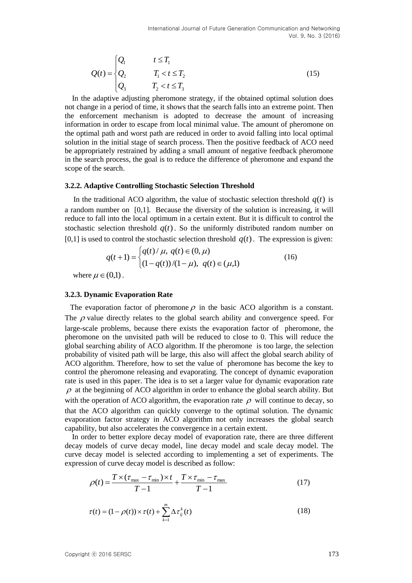$$
Q(t) = \begin{cases} Q_1 & t \le T_1 \\ Q_2 & T_1 < t \le T_2 \\ Q_3 & T_2 < t \le T_3 \end{cases}
$$
 (15)

In the adaptive adjusting pheromone strategy, if the obtained optimal solution does not change in a period of time, it shows that the search falls into an extreme point. Then the enforcement mechanism is adopted to decrease the amount of increasing information in order to escape from local minimal value. The amount of pheromone on the optimal path and worst path are reduced in order to avoid falling into local optimal solution in the initial stage of search process. Then the positive feedback of ACO need be appropriately restrained by adding a small amount of negative feedback pheromone in the search process, the goal is to reduce the difference of pheromone and expand the scope of the search.

#### **3.2.2. Adaptive Controlling Stochastic Selection Threshold**

In the traditional ACO algorithm, the value of stochastic selection threshold  $q(t)$  is a random number on [0,1]. Because the diversity of the solution is increasing, it will reduce to fall into the local optimum in a certain extent. But it is difficult to control the stochastic selection threshold  $q(t)$ . So the uniformly distributed random number on [0,1] is used to control the stochastic selection threshold  $q(t)$ . The expression is given:

$$
q(t+1) = \begin{cases} q(t)/\mu, & q(t) \in (0,\mu) \\ (1-q(t))/(1-\mu), & q(t) \in (\mu,1) \end{cases}
$$
(16)

where  $\mu \in (0,1)$ .

#### **3.2.3. Dynamic Evaporation Rate**

The evaporation factor of pheromone  $\rho$  in the basic ACO algorithm is a constant. The  $\rho$  value directly relates to the global search ability and convergence speed. For large-scale problems, because there exists the evaporation factor of pheromone, the pheromone on the unvisited path will be reduced to close to 0. This will reduce the global searching ability of ACO algorithm. If the pheromone is too large, the selection probability of visited path will be large, this also will affect the global search ability of ACO algorithm. Therefore, how to set the value of pheromone has become the key to control the pheromone releasing and evaporating. The concept of dynamic evaporation rate is used in this paper. The idea is to set a larger value for dynamic evaporation rate  $\rho$  at the beginning of ACO algorithm in order to enhance the global search ability. But with the operation of ACO algorithm, the evaporation rate  $\rho$  will continue to decay, so that the ACO algorithm can quickly converge to the optimal solution. The dynamic evaporation factor strategy in ACO algorithm not only increases the global search capability, but also accelerates the convergence in a certain extent.

In order to better explore decay model of evaporation rate, there are three different decay models of curve decay model, line decay model and scale decay model. The curve decay model is selected according to implementing a set of experiments. The expression of curve decay model is described as follow:

$$
\rho(t) = \frac{T \times (\tau_{\text{max}} - \tau_{\text{min}}) \times t}{T - 1} + \frac{T \times \tau_{\text{min}} - \tau_{\text{max}}}{T - 1}
$$
\n(17)

$$
\tau(t) = (1 - \rho(t)) \times \tau(t) + \sum_{k=1}^{m} \Delta \tau_{ij}^{k}(t)
$$
\n(18)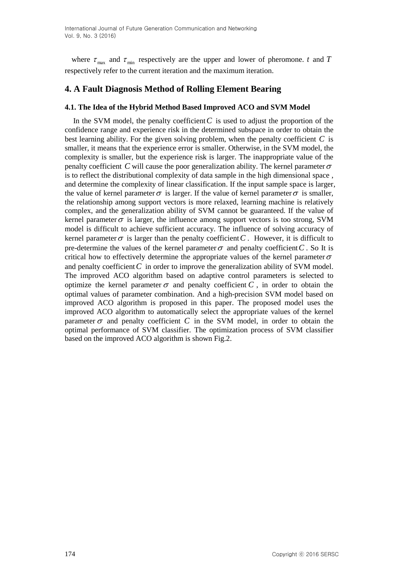where  $\tau_{\text{max}}$  and  $\tau_{\text{min}}$  respectively are the upper and lower of pheromone. *t* and *T* respectively refer to the current iteration and the maximum iteration.

## **4. A Fault Diagnosis Method of Rolling Element Bearing**

### **4.1. The Idea of the Hybrid Method Based Improved ACO and SVM Model**

In the SVM model, the penalty coefficient  $C$  is used to adjust the proportion of the confidence range and experience risk in the determined subspace in order to obtain the best learning ability. For the given solving problem, when the penalty coefficient *C* is smaller, it means that the experience error is smaller. Otherwise, in the SVM model, the complexity is smaller, but the experience risk is larger. The inappropriate value of the penalty coefficient C will cause the poor generalization ability. The kernel parameter  $\sigma$ is to reflect the distributional complexity of data sample in the high dimensional space , and determine the complexity of linear classification. If the input sample space is larger, the value of kernel parameter  $\sigma$  is larger. If the value of kernel parameter  $\sigma$  is smaller, the relationship among support vectors is more relaxed, learning machine is relatively complex, and the generalization ability of SVM cannot be guaranteed. If the value of kernel parameter  $\sigma$  is larger, the influence among support vectors is too strong, SVM model is difficult to achieve sufficient accuracy. The influence of solving accuracy of kernel parameter  $\sigma$  is larger than the penalty coefficient C. However, it is difficult to pre-determine the values of the kernel parameter  $\sigma$  and penalty coefficient C. So It is critical how to effectively determine the appropriate values of the kernel parameter  $\sigma$ and penalty coefficient  $C$  in order to improve the generalization ability of SVM model. The improved ACO algorithm based on adaptive control parameters is selected to optimize the kernel parameter  $\sigma$  and penalty coefficient  $C$ , in order to obtain the optimal values of parameter combination. And a high-precision SVM model based on improved ACO algorithm is proposed in this paper. The proposed model uses the improved ACO algorithm to automatically select the appropriate values of the kernel parameter  $\sigma$  and penalty coefficient C in the SVM model, in order to obtain the optimal performance of SVM classifier. The optimization process of SVM classifier based on the improved ACO algorithm is shown Fig.2.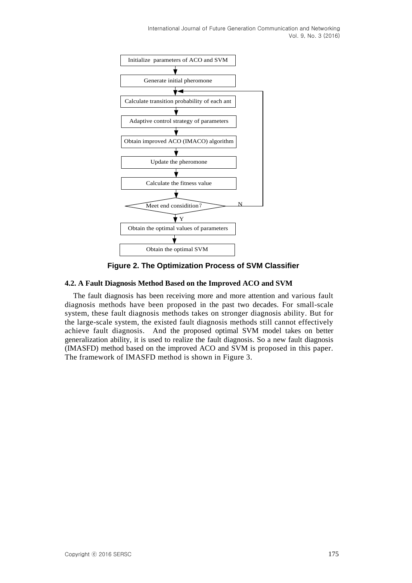

**Figure 2. The Optimization Process of SVM Classifier** 

### **4.2. A Fault Diagnosis Method Based on the Improved ACO and SVM**

The fault diagnosis has been receiving more and more attention and various fault diagnosis methods have been proposed in the past two decades. For small-scale system, these fault diagnosis methods takes on stronger diagnosis ability. But for the large-scale system, the existed fault diagnosis methods still cannot effectively achieve fault diagnosis. And the proposed optimal SVM model takes on better generalization ability, it is used to realize the fault diagnosis. So a new fault diagnosis (IMASFD) method based on the improved ACO and SVM is proposed in this paper. The framework of IMASFD method is shown in Figure 3.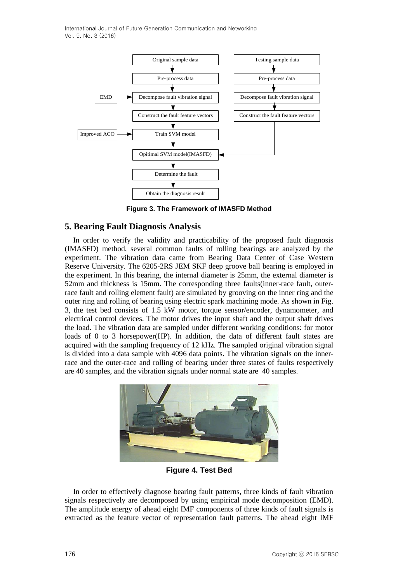

**Figure 3. The Framework of IMASFD Method**

## **5. Bearing Fault Diagnosis Analysis**

In order to verify the validity and practicability of the proposed fault diagnosis (IMASFD) method, several common faults of rolling bearings are analyzed by the experiment. The vibration data came from Bearing Data Center of Case Western Reserve University. The 6205-2RS JEM SKF deep groove ball bearing is employed in the experiment. In this bearing, the internal diameter is 25mm, the external diameter is 52mm and thickness is 15mm. The corresponding three faults(inner-race fault, outerrace fault and rolling element fault) are simulated by grooving on the inner ring and the outer ring and rolling of bearing using electric spark machining mode. As shown in Fig. 3, the test bed consists of 1.5 kW motor, torque sensor/encoder, dynamometer, and electrical control devices. The motor drives the input shaft and the output shaft drives the load. The vibration data are sampled under different working conditions: for motor loads of 0 to 3 horsepower(HP). In addition, the data of different fault states are acquired with the sampling frequency of 12 kHz. The sampled original vibration signal is divided into a data sample with 4096 data points. The vibration signals on the innerrace and the outer-race and rolling of bearing under three states of faults respectively are 40 samples, and the vibration signals under normal state are 40 samples.



**Figure 4. Test Bed**

In order to effectively diagnose bearing fault patterns, three kinds of fault vibration signals respectively are decomposed by using empirical mode decomposition (EMD). The amplitude energy of ahead eight IMF components of three kinds of fault signals is extracted as the feature vector of representation fault patterns. The ahead eight IMF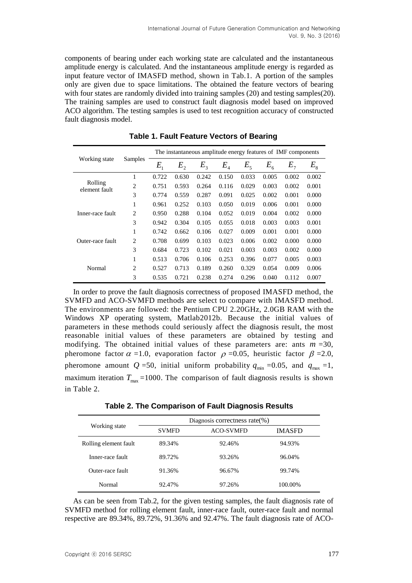components of bearing under each working state are calculated and the instantaneous amplitude energy is calculated. And the instantaneous amplitude energy is regarded as input feature vector of IMASFD method, shown in Tab.1. A portion of the samples only are given due to space limitations. The obtained the feature vectors of bearing with four states are randomly divided into training samples (20) and testing samples(20). The training samples are used to construct fault diagnosis model based on improved ACO algorithm. The testing samples is used to test recognition accuracy of constructed fault diagnosis model.

|                          |                |         |                |         |                            |             |         | The instantaneous amplitude energy features of IMF components |         |
|--------------------------|----------------|---------|----------------|---------|----------------------------|-------------|---------|---------------------------------------------------------------|---------|
| Working state            | Samples        | $E_{1}$ | E <sub>2</sub> | $E_{3}$ | $E_{\scriptscriptstyle 4}$ | $E_{\rm s}$ | $E_{6}$ | E <sub>7</sub>                                                | $E_{8}$ |
| Rolling<br>element fault | 1              | 0.722   | 0.630          | 0.242   | 0.150                      | 0.033       | 0.005   | 0.002                                                         | 0.002   |
|                          | $\overline{2}$ | 0.751   | 0.593          | 0.264   | 0.116                      | 0.029       | 0.003   | 0.002                                                         | 0.001   |
|                          | 3              | 0.774   | 0.559          | 0.287   | 0.091                      | 0.025       | 0.002   | 0.001                                                         | 0.000   |
| Inner-race fault         | 1              | 0.961   | 0.252          | 0.103   | 0.050                      | 0.019       | 0.006   | 0.001                                                         | 0.000   |
|                          | 2              | 0.950   | 0.288          | 0.104   | 0.052                      | 0.019       | 0.004   | 0.002                                                         | 0.000   |
|                          | 3              | 0.942   | 0.304          | 0.105   | 0.055                      | 0.018       | 0.003   | 0.003                                                         | 0.001   |
| Outer-race fault         | 1              | 0.742   | 0.662          | 0.106   | 0.027                      | 0.009       | 0.001   | 0.001                                                         | 0.000   |
|                          | $\overline{2}$ | 0.708   | 0.699          | 0.103   | 0.023                      | 0.006       | 0.002   | 0.000                                                         | 0.000   |
|                          | 3              | 0.684   | 0.723          | 0.102   | 0.021                      | 0.003       | 0.003   | 0.002                                                         | 0.000   |
| Normal                   | 1              | 0.513   | 0.706          | 0.106   | 0.253                      | 0.396       | 0.077   | 0.005                                                         | 0.003   |
|                          | 2              | 0.527   | 0.713          | 0.189   | 0.260                      | 0.329       | 0.054   | 0.009                                                         | 0.006   |
|                          | 3              | 0.535   | 0.721          | 0.238   | 0.274                      | 0.296       | 0.040   | 0.112                                                         | 0.007   |

**Table 1. Fault Feature Vectors of Bearing**

In order to prove the fault diagnosis correctness of proposed IMASFD method, the SVMFD and ACO-SVMFD methods are select to compare with IMASFD method. The environments are followed: the Pentium CPU 2.20GHz, 2.0GB RAM with the Windows XP operating system, Matlab2012b. Because the initial values of parameters in these methods could seriously affect the diagnosis result, the most reasonable initial values of these parameters are obtained by testing and modifying. The obtained initial values of these parameters are: ants  $m = 30$ , pheromone factor  $\alpha$  =1.0, evaporation factor  $\rho$  =0.05, heuristic factor  $\beta$  =2.0, pheromone amount  $Q = 50$ , initial uniform probability  $q_{min} = 0.05$ , and  $q_{max} = 1$ , maximum iteration  $T_{\text{max}}$  =1000. The comparison of fault diagnosis results is shown in Table 2.

|                       | Diagnosis correctness rate $(\%)$ |                  |               |  |  |  |  |
|-----------------------|-----------------------------------|------------------|---------------|--|--|--|--|
| Working state         | <b>SVMFD</b>                      | <b>ACO-SVMFD</b> | <b>IMASFD</b> |  |  |  |  |
| Rolling element fault | 89.34%                            | 92.46%           | 94.93%        |  |  |  |  |
| Inner-race fault      | 89.72%                            | 93.26%           | 96.04%        |  |  |  |  |
| Outer-race fault      | 91.36%                            | 96.67%           | 99.74%        |  |  |  |  |
| Normal                | 92.47%                            | 97.26%           | 100.00%       |  |  |  |  |

As can be seen from Tab.2, for the given testing samples, the fault diagnosis rate of SVMFD method for rolling element fault, inner-race fault, outer-race fault and normal respective are 89.34%, 89.72%, 91.36% and 92.47%. The fault diagnosis rate of ACO-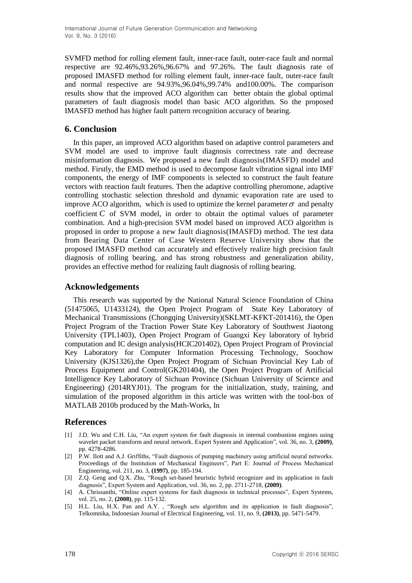SVMFD method for rolling element fault, inner-race fault, outer-race fault and normal respective are 92.46%,93.26%,96.67% and 97.26%. The fault diagnosis rate of proposed IMASFD method for rolling element fault, inner-race fault, outer-race fault and normal respective are 94.93%,96.04%,99.74% and100.00%. The comparison results show that the improved ACO algorithm can better obtain the global optimal parameters of fault diagnosis model than basic ACO algorithm. So the proposed IMASFD method has higher fault pattern recognition accuracy of bearing.

## **6. Conclusion**

In this paper, an improved ACO algorithm based on adaptive control parameters and SVM model are used to improve fault diagnosis correctness rate and decrease misinformation diagnosis. We proposed a new fault diagnosis(IMASFD) model and method. Firstly, the EMD method is used to decompose fault vibration signal into IMF components, the energy of IMF components is selected to construct the fault feature vectors with reaction fault features. Then the adaptive controlling pheromone, adaptive controlling stochastic selection threshold and dynamic evaporation rate are used to improve ACO algorithm, which is used to optimize the kernel parameter  $\sigma$  and penalty coefficient  $C$  of SVM model, in order to obtain the optimal values of parameter combination. And a high-precision SVM model based on improved ACO algorithm is proposed in order to propose a new fault diagnosis(IMASFD) method. The test data from Bearing Data Center of Case Western Reserve University show that the proposed IMASFD method can accurately and effectively realize high precision fault diagnosis of rolling bearing, and has strong robustness and generalization ability, provides an effective method for realizing fault diagnosis of rolling bearing.

## **Acknowledgements**

This research was supported by the National Natural Science Foundation of China (51475065, U1433124), the Open Project Program of State Key Laboratory of Mechanical Transmissions (Chongqing University)(SKLMT-KFKT-201416), the Open Project Program of the Traction Power State Key Laboratory of Southwest Jiaotong University (TPL1403), Open Project Program of Guangxi Key laboratory of hybrid computation and IC design analysis(HCIC201402), Open Project Program of Provincial Key Laboratory for Computer Information Processing Technology, Soochow University (KJS1326),the Open Project Program of Sichuan Provincial Key Lab of Process Equipment and Control(GK201404), the Open Project Program of Artificial Intelligence Key Laboratory of Sichuan Province (Sichuan University of Science and Engineering) (2014RYJ01). The program for the initialization, study, training, and simulation of the proposed algorithm in this article was written with the tool-box of MATLAB 2010b produced by the Math-Works, In

## **References**

- [1] J.D. Wu and C.H. Liu, "An expert system for fault diagnosis in internal combustion engines using wavelet packet transform and neural network. Expert System and Application", vol. 36, no. 3, **(2009)**, pp. 4278-4286.
- [2] P.W. Ilott and A.J. Griffiths, "Fault diagnosis of pumping machinery using artificial neural networks. Proceedings of the Institution of Mechanical Engineers", Part E: Journal of Process Mechanical Engineering, vol. 211, no. 3, **(1997)**, pp. 185-194.
- [3] Z.Q. Geng and Q.X. Zhu, "Rough set-based heuristic hybrid recognizer and its application in fault diagnosis", Expert System and Application, vol. 36, no. 2, pp. 2711-2718, **(2009)**.
- [4] A. Chrissanthi, "Online expert systems for fault diagnosis in technical processes", Expert Systems, vol. 25, no. 2, **(2008)**, pp. 115-132.
- [5] H.L. Liu, H.X. Pan and A.Y. , "Rough sets algorithm and its application in fault diagnosis", Telkomnika, Indonesian Journal of Electrical Engineering, vol. 11, no. 9, **(2013)**, pp. 5471-5479.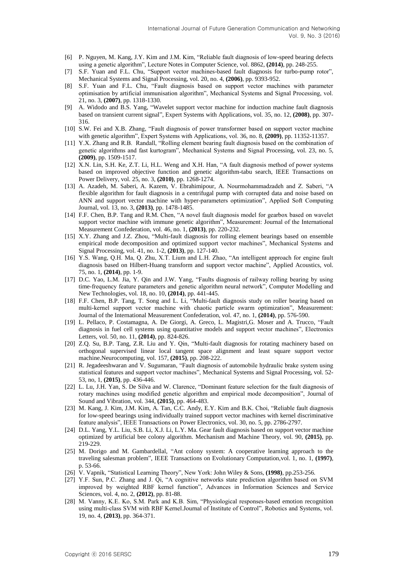- [6] P. Nguyen, M. Kang, J.Y. Kim and J.M. Kim, "Reliable fault diagnosis of low-speed bearing defects using a genetic algorithm", Lecture Notes in Computer Science, vol. 8862, **(2014)**, pp. 248-255.
- [7] S.F. Yuan and F.L. Chu, "Support vector machines-based fault diagnosis for turbo-pump rotor", Mechanical Systems and Signal Processing, vol. 20, no. 4, **(2006)**, pp. 9393-952.
- [8] S.F. Yuan and F.L. Chu, "Fault diagnosis based on support vector machines with parameter optimisation by artificial immunisation algorithm", Mechanical Systems and Signal Processing, vol. 21, no. 3, **(2007)**, pp. 1318-1330.
- [9] A. Widodo and B.S. Yang, "Wavelet support vector machine for induction machine fault diagnosis based on transient current signal", Expert Systems with Applications, vol. 35, no. 12, **(2008)**, pp. 307- 316.
- [10] S.W. Fei and X.B. Zhang, "Fault diagnosis of power transformer based on support vector machine with genetic algorithm", Expert Systems with Applications, vol. 36, no. 8, **(2009)**, pp. 11352-11357.
- [11] Y.X. Zhang and R.B. Randall, "Rolling element bearing fault diagnosis based on the combination of genetic algorithms and fast kurtogram", Mechanical Systems and Signal Processing, vol. 23, no. 5, **(2009)**, pp. 1509-1517.
- [12] X.N. Lin, S.H. Ke, Z.T. Li, H.L. Weng and X.H. Han, "A fault diagnosis method of power systems based on improved objective function and genetic algorithm-tabu search, IEEE Transactions on Power Delivery, vol. 25, no. 3, **(2010)**, pp. 1268-1274.
- [13] A. Azadeh, M. Saberi, A. Kazem, V. Ebrahimipour, A. Nourmohammadzadeh and Z. Saberi, "A flexible algorithm for fault diagnosis in a centrifugal pump with corrupted data and noise based on ANN and support vector machine with hyper-parameters optimization", Applied Soft Computing Journal, vol. 13, no. 3, **(2013)**, pp. 1478-1485.
- [14] F.F. Chen, B.P. Tang and R.M. Chen, "A novel fault diagnosis model for gearbox based on wavelet support vector machine with immune genetic algorithm", Measurement: Journal of the International Measurement Confederation, vol. 46, no. 1, **(2013)**, pp. 220-232.
- [15] X.Y. Zhang and J.Z. Zhou, "Multi-fault diagnosis for rolling element bearings based on ensemble empirical mode decomposition and optimized support vector machines", Mechanical Systems and Signal Processing, vol. 41, no. 1-2, **(2013)**, pp. 127-140.
- [16] Y.S. Wang, Q.H. Ma, Q. Zhu, X.T. Lium and L.H. Zhao, "An intelligent approach for engine fault diagnosis based on Hilbert-Huang transform and support vector machine", Applied Acoustics, vol. 75, no. 1, **(2014)**, pp. 1-9.
- [17] D.C. Yao, L.M. Jia, Y. Qin and J.W. Yang, "Faults diagnosis of railway rolling bearing by using time-frequency feature parameters and genetic algorithm neural network", Computer Modelling and New Technologies, vol. 18, no. 10, **(2014)**, pp. 441-445.
- [18] F.F. Chen, B.P. Tang, T. Song and L. Li, "Multi-fault diagnosis study on roller bearing based on multi-kernel support vector machine with chaotic particle swarm optimization", Measurement: Journal of the International Measurement Confederation, vol. 47, no. 1, **(2014)**, pp. 576-590.
- [19] L. Pellaco, P. Costamagna, A. De Giorgi, A. Greco, L. Magistri,G. Moser and A. Trucco, "Fault diagnosis in fuel cell systems using quantitative models and support vector machines", Electronics Letters, vol. 50, no. 11, **(2014)**, pp. 824-826.
- [20] Z.Q. Su, B.P. Tang, Z.R. Liu and Y. Qin, "Multi-fault diagnosis for rotating machinery based on orthogonal supervised linear local tangent space alignment and least square support vector machine.Neurocomputing, vol. 157, **(2015)**, pp. 208-222.
- [21] R. Jegadeeshwaran and V. Sugumaran, "Fault diagnosis of automobile hydraulic brake system using statistical features and support vector machines", Mechanical Systems and Signal Processing, vol. 52- 53, no, 1, **(2015)**, pp. 436-446.
- [22] L. Lu, J.H. Yan, S. De Silva and W. Clarence, "Dominant feature selection for the fault diagnosis of rotary machines using modified genetic algorithm and empirical mode decomposition", Journal of Sound and Vibration, vol. 344, **(2015)**, pp. 464-483.
- [23] M. Kang, J. Kim, J.M. Kim, A. Tan, C.C. Andy, E.Y. Kim and B.K. Choi, "Reliable fault diagnosis for low-speed bearings using individually trained support vector machines with kernel discriminative feature analysis", IEEE Transactions on Power Electronics, vol. 30, no. 5, pp. 2786-2797.
- [24] D.L. Yang, Y.L. Liu, S.B. Li, X.J. Li, L.Y. Ma. Gear fault diagnosis based on support vector machine optimized by artificial bee colony algorithm. Mechanism and Machine Theory, vol. 90, **(2015)**, pp. 219-229.
- [25] M. Dorigo and M. Gambardellal, "Ant colony system: A cooperative learning approach to the traveling salesman problem", IEEE Transactions on Evolutionary Computation,vol. 1, no. 1, **(1997)**, p. 53-66.
- [26] V. Vapnik, "Statistical Learning Theory", New York: John Wiley & Sons, **(1998)**, pp.253-256.
- [27] Y.F. Sun, P.C. Zhang and J. Qi, "A cognitive networks state prediction algorithm based on SVM improved by weighted RBF kernel function", Advances in Information Sciences and Service Sciences, vol. 4, no. 2, **(2012)**, pp. 81-88.
- [28] M. Vanny, K.E. Ko, S.M. Park and K.B. Sim, "Physiological responses-based emotion recognition using multi-class SVM with RBF Kernel.Journal of Institute of Control", Robotics and Systems, vol. 19, no. 4, **(2013)**, pp. 364-371.